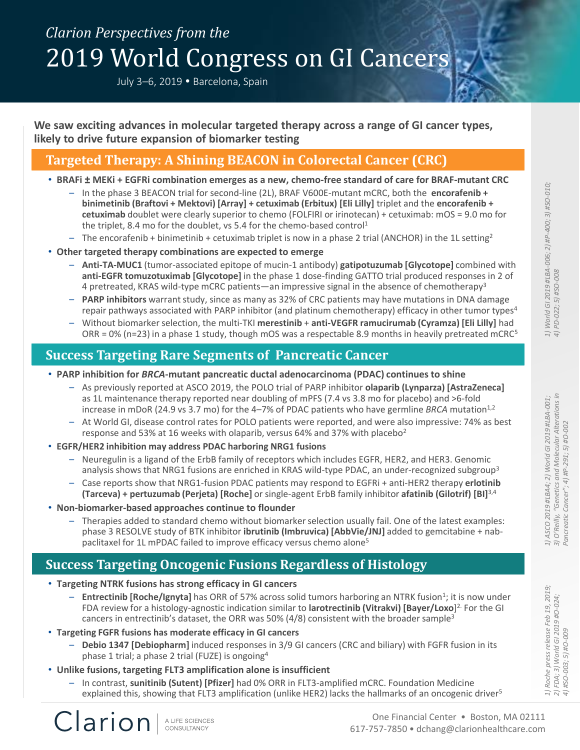# *Clarion Perspectives from the* 2019 World Congress on GI Cancers

July 3-6, 2019 . Barcelona, Spain

**We saw exciting advances in molecular targeted therapy across a range of GI cancer types, likely to drive future expansion of biomarker testing**

### **Targeted Therapy: A Shining BEACON in Colorectal Cancer (CRC)**

- **BRAFi ± MEKi + EGFRi combination emerges as a new, chemo-free standard of care for BRAF-mutant CRC**
	- In the phase 3 BEACON trial for second-line (2L), BRAF V600E-mutant mCRC, both the **encorafenib + binimetinib (Braftovi + Mektovi) [Array] + cetuximab (Erbitux) [Eli Lilly]** triplet and the **encorafenib + cetuximab** doublet were clearly superior to chemo (FOLFIRI or irinotecan) + cetuximab: mOS = 9.0 mo for the triplet, 8.4 mo for the doublet, vs 5.4 for the chemo-based control<sup>1</sup>
	- The encorafenib + binimetinib + cetuximab triplet is now in a phase 2 trial (ANCHOR) in the 1L setting<sup>2</sup>
- **Other targeted therapy combinations are expected to emerge**
	- **Anti-TA-MUC1** (tumor-associated epitope of mucin-1 antibody) **gatipotuzumab [Glycotope]** combined with **anti-EGFR tomuzotuximab [Glycotope]** in the phase 1 dose-finding GATTO trial produced responses in 2 of 4 pretreated, KRAS wild-type mCRC patients—an impressive signal in the absence of chemotherapy<sup>3</sup>
	- **PARP inhibitors** warrant study, since as many as 32% of CRC patients may have mutations in DNA damage repair pathways associated with PARP inhibitor (and platinum chemotherapy) efficacy in other tumor types<sup>4</sup>
	- Without biomarker selection, the multi-TKI **merestinib** + **anti-VEGFR ramucirumab (Cyramza) [Eli Lilly]** had ORR = 0% (n=23) in a phase 1 study, though mOS was a respectable 8.9 months in heavily pretreated mCRC<sup>5</sup>

### **Success Targeting Rare Segments of Pancreatic Cancer**

- **PARP inhibition for** *BRCA***-mutant pancreatic ductal adenocarcinoma (PDAC) continues to shine**
	- As previously reported at ASCO 2019, the POLO trial of PARP inhibitor **olaparib (Lynparza) [AstraZeneca]** as 1L maintenance therapy reported near doubling of mPFS (7.4 vs 3.8 mo for placebo) and >6-fold increase in mDoR (24.9 vs 3.7 mo) for the  $4-7%$  of PDAC patients who have germline *BRCA* mutation<sup>1,2</sup>
	- At World GI, disease control rates for POLO patients were reported, and were also impressive: 74% as best response and 53% at 16 weeks with olaparib, versus 64% and 37% with placebo<sup>2</sup>
- **EGFR/HER2 inhibition may address PDAC harboring NRG1 fusions**
	- Neuregulin is a ligand of the ErbB family of receptors which includes EGFR, HER2, and HER3. Genomic analysis shows that NRG1 fusions are enriched in KRAS wild-type PDAC, an under-recognized subgroup<sup>3</sup>
	- Case reports show that NRG1-fusion PDAC patients may respond to EGFRi + anti-HER2 therapy **erlotinib (Tarceva) + pertuzumab (Perjeta) [Roche]** or single-agent ErbB family inhibitor **afatinib (Gilotrif) [BI]**3,4
- **Non-biomarker-based approaches continue to flounder**
	- Therapies added to standard chemo without biomarker selection usually fail. One of the latest examples: phase 3 RESOLVE study of BTK inhibitor **ibrutinib (Imbruvica) [AbbVie/JNJ]** added to gemcitabine + nabpaclitaxel for 1L mPDAC failed to improve efficacy versus chemo alone<sup>5</sup>

### **Success Targeting Oncogenic Fusions Regardless of Histology**

- **Targeting NTRK fusions has strong efficacy in GI cancers**
	- Entrectinib [Roche/Ignyta] has ORR of 57% across solid tumors harboring an NTRK fusion<sup>1</sup>; it is now under FDA review for a histology-agnostic indication similar to **larotrectinib (Vitrakvi) [Bayer/Loxo**] 2. For the GI cancers in entrectinib's dataset, the ORR was 50%  $(4/8)$  consistent with the broader sample<sup>3</sup>
- **Targeting FGFR fusions has moderate efficacy in GI cancers**
	- **Debio 1347 [Debiopharm]** induced responses in 3/9 GI cancers (CRC and biliary) with FGFR fusion in its phase 1 trial; a phase 2 trial (FUZE) is ongoing<sup>4</sup>
- **Unlike fusions, targeting FLT3 amplification alone is insufficient**
	- In contrast, **sunitinib (Sutent) [Pfizer]** had 0% ORR in FLT3-amplified mCRC. Foundation Medicine explained this, showing that FLT3 amplification (unlike HER2) lacks the hallmarks of an oncogenic driver<sup>5</sup>

 $\frac{1}{2}$  $\frac{1}{4}$ 

Clarion